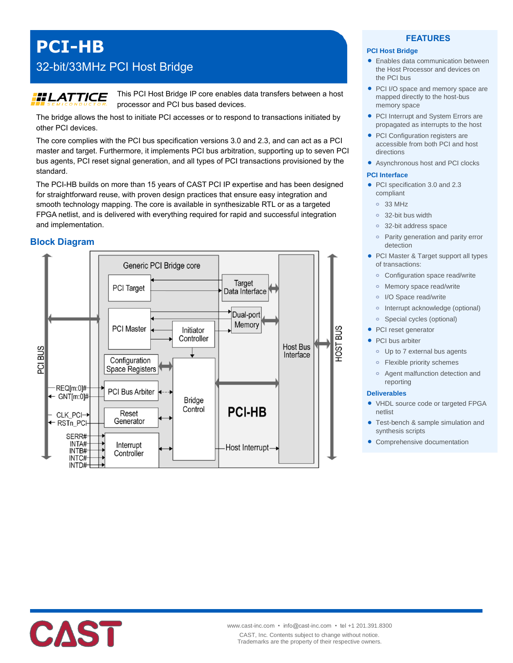# **PCI-HB**

## 32-bit/33MHz PCI Host Bridge

## **HLATTICE**

This PCI Host Bridge IP core enables data transfers between a host processor and PCI bus based devices.

The bridge allows the host to initiate PCI accesses or to respond to transactions initiated by other PCI devices.

The core complies with the PCI bus specification versions 3.0 and 2.3, and can act as a PCI master and target. Furthermore, it implements PCI bus arbitration, supporting up to seven PCI bus agents, PCI reset signal generation, and all types of PCI transactions provisioned by the standard.

The PCI-HB builds on more than 15 years of CAST PCI IP expertise and has been designed for straightforward reuse, with proven design practices that ensure easy integration and smooth technology mapping. The core is available in synthesizable RTL or as a targeted FPGA netlist, and is delivered with everything required for rapid and successful integration and implementation.

## **Block Diagram**



## **FEATURES**

### **PCI Host Bridge**

- Enables data communication between the Host Processor and devices on the PCI bus
- PCI I/O space and memory space are mapped directly to the host-bus memory space
- PCI Interrupt and System Errors are propagated as interrupts to the host
- PCI Configuration registers are accessible from both PCI and host directions
- Asynchronous host and PCI clocks

#### **PCI Interface**

- PCI specification 3.0 and 2.3 compliant
	- **o** 33 MHz
	- **o** 32-bit bus width
	- **o** 32-bit address space
	- **o** Parity generation and parity error detection
- PCI Master & Target support all types of transactions:
	- **o** Configuration space read/write
	- **o** Memory space read/write
	- **o** I/O Space read/write
	- **o** Interrupt acknowledge (optional)
	- **o** Special cycles (optional)
- PCI reset generator
- PCI bus arbiter
	- **o** Up to 7 external bus agents
	- **o** Flexible priority schemes
	- **o** Agent malfunction detection and reporting

#### **Deliverables**

- VHDL source code or targeted FPGA netlist
- Test-bench & sample simulation and synthesis scripts
- Comprehensive documentation